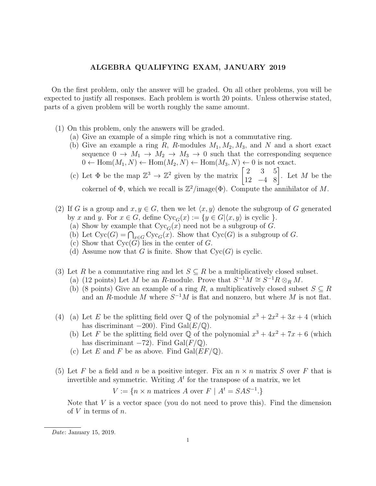## ALGEBRA QUALIFYING EXAM, JANUARY 2019

On the first problem, only the answer will be graded. On all other problems, you will be expected to justify all responses. Each problem is worth 20 points. Unless otherwise stated, parts of a given problem will be worth roughly the same amount.

- (1) On this problem, only the answers will be graded.
	- (a) Give an example of a simple ring which is not a commutative ring.
	- (b) Give an example a ring R, R-modules  $M_1, M_2, M_3$ , and N and a short exact sequence  $0 \to M_1 \to M_2 \to M_3 \to 0$  such that the corresponding sequence  $0 \leftarrow \text{Hom}(M_1, N) \leftarrow \text{Hom}(M_2, N) \leftarrow \text{Hom}(M_3, N) \leftarrow 0$  is not exact.
	- (c) Let  $\Phi$  be the map  $\mathbb{Z}^3 \to \mathbb{Z}^2$  given by the matrix  $\begin{bmatrix} 2 & 3 & 5 \\ 12 & -4 & 8 \end{bmatrix}$ . Let M be the cokernel of  $\Phi$ , which we recall is  $\mathbb{Z}^2$ /image( $\Phi$ ). Compute the annihilator of M.
- (2) If G is a group and  $x, y \in G$ , then we let  $\langle x, y \rangle$  denote the subgroup of G generated by x and y. For  $x \in G$ , define  $Cyc_G(x) := \{y \in G | \langle x, y \rangle \text{ is cyclic } \}.$ 
	- (a) Show by example that  $Cyc<sub>G</sub>(x)$  need not be a subgroup of G.
	- (b) Let  $Cyc(G) = \bigcap_{x \in G} Cyc_G(x)$ . Show that  $Cyc(G)$  is a subgroup of G.
	- (c) Show that  $Cyc(G)$  lies in the center of G.
	- (d) Assume now that G is finite. Show that  $Cyc(G)$  is cyclic.
- (3) Let R be a commutative ring and let  $S \subseteq R$  be a multiplicatively closed subset.
	- (a) (12 points) Let M be an R-module. Prove that  $S^{-1}M \cong S^{-1}R \otimes_R M$ .
	- (b) (8 points) Give an example of a ring R, a multiplicatively closed subset  $S \subseteq R$ and an R-module M where  $S^{-1}M$  is flat and nonzero, but where M is not flat.
- (4) (a) Let E be the splitting field over  $\mathbb Q$  of the polynomial  $x^3 + 2x^2 + 3x + 4$  (which has discriminant  $-200$ ). Find Gal( $E/\mathbb{Q}$ ).
	- (b) Let F be the splitting field over  $\overline{Q}$  of the polynomial  $x^3 + 4x^2 + 7x + 6$  (which has discriminant  $-72$ ). Find Gal( $F/\mathbb{Q}$ ).
	- (c) Let E and F be as above. Find  $Gal(EF/\mathbb{Q})$ .
- (5) Let F be a field and n be a positive integer. Fix an  $n \times n$  matrix S over F that is invertible and symmetric. Writing  $A<sup>t</sup>$  for the transpose of a matrix, we let

 $V := \{ n \times n \text{ matrices } A \text{ over } F \mid A^t = SAS^{-1} \}.$ 

Note that  $V$  is a vector space (you do not need to prove this). Find the dimension of  $V$  in terms of  $n$ .

Date: January 15, 2019.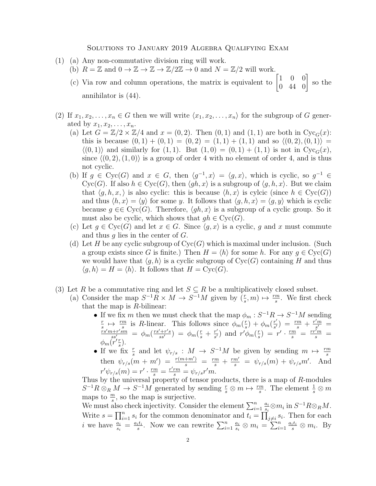## Solutions to January 2019 Algebra Qualifying Exam

- (1) (a) Any non-commutative division ring will work.
	- (b)  $R = \mathbb{Z}$  and  $0 \to \mathbb{Z} \to \mathbb{Z} \to \mathbb{Z}/2\mathbb{Z} \to 0$  and  $N = \mathbb{Z}/2$  will work.
	- (c) Via row and column operations, the matrix is equivalent to  $\begin{bmatrix} 1 & 0 & 0 \\ 0 & 44 & 0 \end{bmatrix}$  so the annihilator is (44).
- (2) If  $x_1, x_2, \ldots, x_n \in G$  then we will write  $\langle x_1, x_2, \ldots, x_n \rangle$  for the subgroup of G generated by  $x_1, x_2, \ldots, x_n$ .
	- (a) Let  $G = \mathbb{Z}/2 \times \mathbb{Z}/4$  and  $x = (0, 2)$ . Then  $(0, 1)$  and  $(1, 1)$  are both in Cyc<sub>G</sub>(x): this is because  $(0, 1) + (0, 1) = (0, 2) = (1, 1) + (1, 1)$  and so  $\langle (0, 2), (0, 1) \rangle =$  $\langle (0, 1) \rangle$  and similarly for  $(1, 1)$ . But  $(1, 0) = (0, 1) + (1, 1)$  is not in Cyc<sub>G</sub>(x), since  $\langle (0, 2), (1, 0) \rangle$  is a group of order 4 with no element of order 4, and is thus not cyclic.
	- (b) If  $g \in \text{Cyc}(G)$  and  $x \in G$ , then  $\langle g^{-1}, x \rangle = \langle g, x \rangle$ , which is cyclic, so  $g^{-1} \in$ Cyc(G). If also  $h \in Cyc(G)$ , then  $\langle gh, x \rangle$  is a subgroup of  $\langle g, h, x \rangle$ . But we claim that  $\langle g, h, x \rangle$  is also cyclic: this is because  $\langle h, x \rangle$  is cylcic (since  $h \in Cyc(G)$ ) and thus  $\langle h, x \rangle = \langle y \rangle$  for some y. It follows that  $\langle g, h, x \rangle = \langle g, y \rangle$  which is cyclic because  $q \in \text{Cyc}(G)$ . Therefore,  $\langle qh, x \rangle$  is a subgroup of a cyclic group. So it must also be cyclic, which shows that  $gh \in Cyc(G)$ .
	- (c) Let  $g \in \text{Cyc}(G)$  and let  $x \in G$ . Since  $\langle g, x \rangle$  is a cyclic, g and x must commute and thus  $q$  lies in the center of  $G$ .
	- (d) Let H be any cyclic subgroup of  $Cyc(G)$  which is maximal under inclusion. (Such a group exists since G is finite.) Then  $H = \langle h \rangle$  for some h. For any  $g \in Cyc(G)$ we would have that  $\langle g, h \rangle$  is a cyclic subgroup of  $Cyc(G)$  containing H and thus  $\langle g, h \rangle = H = \langle h \rangle$ . It follows that  $H = \text{Cyc}(G)$ .
- (3) Let R be a commutative ring and let  $S \subseteq R$  be a multiplicatively closed subset.
	- (a) Consider the map  $S^{-1}R \times M \to S^{-1}M$  given by  $(\frac{r}{s}, m) \mapsto \frac{rm}{s}$ . We first check that the map is  $R$ -bilinear:
		- If we fix m then we must check that the map  $\phi_m : S^{-1}R \to S^{-1}M$  sending r  $\frac{r}{s} \mapsto \frac{rm}{s}$  is R-linear. This follows since  $\phi_m(\frac{r}{s})$  $\frac{r}{s}) + \phi_m(\frac{r'}{s'})$  $\frac{r'}{s'}$  =  $\frac{rm}{s}$  +  $\frac{r'm}{s'}$  $\frac{m}{s'} =$  $\frac{r s' m + r' s m}{s s'} = \phi_m(\frac{r s' + r' s}{s s'}) = \phi_m(\frac{r}{s} + \frac{r'}{s'})$  $\frac{r'}{s'}$ ) and  $r' \phi_m(\frac{r}{s})$  $\frac{r}{s}$ ) =  $r' \cdot \frac{rm}{s}$  =  $\frac{rr'm}{s}$  =  $\phi_m(r'{\tau \over s}$  $\frac{r}{s}$ .
		- If we fix  $\frac{r}{s}$  and let  $\psi_{r/s}$  :  $M \to S^{-1}M$  be given by sending  $m \mapsto \frac{rm}{s}$ then  $\psi_{r/s}(m + m') = \frac{r(m+m')}{s} = \frac{rm}{s} + \frac{rm'}{s} = \psi_{r/s}(m) + \psi_{r/s}m'$ . And  $r'\psi_{r/s}(m) = r' \cdot \frac{rm}{s} = \frac{r' r m}{s} = \psi_{r/s} r' m.$

Thus by the universal property of tensor products, there is a map of  $R$ -modules  $S^{-1}R\otimes_R M \to S^{-1}M$  generated by sending  $\frac{r}{s}\otimes m \mapsto \frac{rm}{s}$ . The element  $\frac{1}{s}\otimes m$ maps to  $\frac{m}{s}$ , so the map is surjective.

Me must also check injectivity. Consider the element  $\sum_{i=1}^n \frac{a_i}{s_i}$  $\frac{a_i}{s_i} \otimes m_i$  in  $S^{-1}R \otimes_R M$ . Write  $s = \prod_{i=1}^n s_i$  for the common denominator and  $t_i = \prod_{j \neq i}^n s_j$ . Then for each *i* we have  $\frac{a_i}{s_i} = \frac{a_i t_i}{s}$  $\frac{i t_i}{s}$ . Now we can rewrite  $\sum_{i=1}^n \frac{a_i}{s_i}$  $\frac{a_i}{s_i} \otimes m_i = \sum_{i=1}^n \frac{a_i t_i}{s} \otimes m_i$ . By